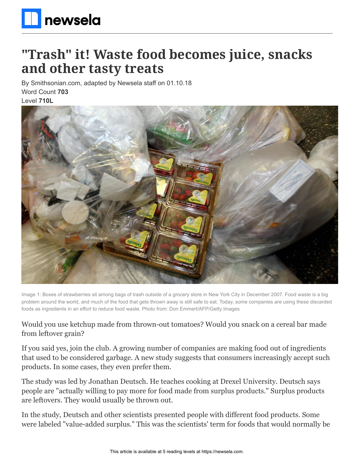

# **"Trash" it! Waste food becomes juice, snacks and other tasty treats**

By Smithsonian.com, adapted by Newsela staff on 01.10.18 Word Count **703** Level **710L**



Image 1: Boxes of strawberries sit among bags of trash outside of a grocery store in New York City in December 2007. Food waste is a big problem around the world, and much of the food that gets thrown away is still safe to eat. Today, some companies are using these discarded foods as ingredients in an effort to reduce food waste. Photo from: Don Emmert/AFP/Getty Images

Would you use ketchup made from thrown-out tomatoes? Would you snack on a cereal bar made from leftover grain?

If you said yes, join the club. A growing number of companies are making food out of ingredients that used to be considered garbage. A new study suggests that consumers increasingly accept such products. In some cases, they even prefer them.

The study was led by Jonathan Deutsch. He teaches cooking at Drexel University. Deutsch says people are "actually willing to pay more for food made from surplus products." Surplus products are leftovers. They would usually be thrown out.

In the study, Deutsch and other scientists presented people with different food products. Some were labeled "value-added surplus." This was the scientists' term for foods that would normally be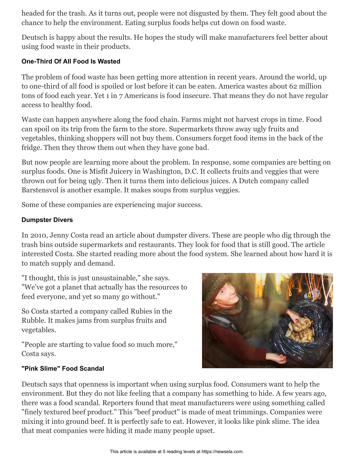headed for the trash. As it turns out, people were not disgusted by them. They felt good about the chance to help the environment. Eating surplus foods helps cut down on food waste.

Deutsch is happy about the results. He hopes the study will make manufacturers feel better about using food waste in their products.

### **One-Third Of All Food Is Wasted**

The problem of food waste has been getting more attention in recent years. Around the world, up to one-third of all food is spoiled or lost before it can be eaten. America wastes about 62 million tons of food each year. Yet 1 in 7 Americans is food insecure. That means they do not have regular access to healthy food.

Waste can happen anywhere along the food chain. Farms might not harvest crops in time. Food can spoil on its trip from the farm to the store. Supermarkets throw away ugly fruits and vegetables, thinking shoppers will not buy them. Consumers forget food items in the back of the fridge. Then they throw them out when they have gone bad.

But now people are learning more about the problem. In response, some companies are betting on surplus foods. One is Misfit Juicery in Washington, D.C. It collects fruits and veggies that were thrown out for being ugly. Then it turns them into delicious juices. A Dutch company called Barstensvol is another example. It makes soups from surplus veggies.

Some of these companies are experiencing major success.

## **Dumpster Divers**

In 2010, Jenny Costa read an article about dumpster divers. These are people who dig through the trash bins outside supermarkets and restaurants. They look for food that is still good. The article interested Costa. She started reading more about the food system. She learned about how hard it is to match supply and demand.

"I thought, this is just unsustainable," she says. "We've got a planet that actually has the resources to feed everyone, and yet so many go without."

So Costa started a company called Rubies in the Rubble. It makes jams from surplus fruits and vegetables.

"People are starting to value food so much more," Costa says.

#### **"Pink Slime" Food Scandal**



Deutsch says that openness is important when using surplus food. Consumers want to help the environment. But they do not like feeling that a company has something to hide. A few years ago, there was a food scandal. Reporters found that meat manufacturers were using something called "finely textured beef product." This "beef product" is made of meat trimmings. Companies were mixing it into ground beef. It is perfectly safe to eat. However, it looks like pink slime. The idea that meat companies were hiding it made many people upset.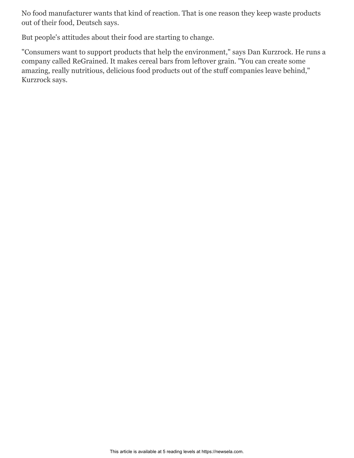No food manufacturer wants that kind of reaction. That is one reason they keep waste products out of their food, Deutsch says.

But people's attitudes about their food are starting to change.

"Consumers want to support products that help the environment," says Dan Kurzrock. He runs a company called ReGrained. It makes cereal bars from leftover grain. "You can create some amazing, really nutritious, delicious food products out of the stuff companies leave behind," Kurzrock says.